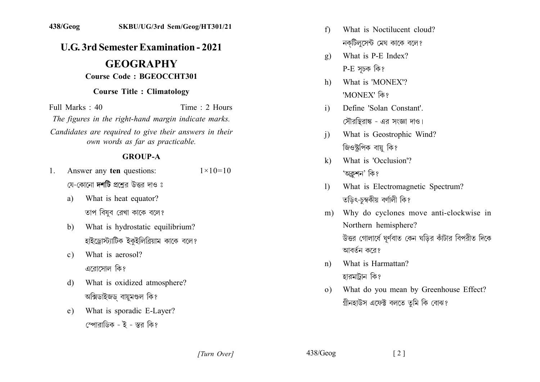## **U.G. 3rd Semester Examination - 2021**

# **GEOGRAPHY**

#### **Course Code: BGEOCCHT301**

#### **Course Title: Climatology**

Time  $\cdot$  2 Hours Full Marks  $\cdot$  40

The figures in the right-hand margin indicate marks.

Candidates are required to give their answers in their own words as far as practicable.

## **GROUP-A**

- Answer any ten questions:  $1 \times 10 = 10$  $1_{-}$ যে-কোনো **দশটি** প্রশ্নের উত্তর দাও ঃ
	- What is heat equator? a) তাপ বিষুব রেখা কাকে বলে?
	- What is hydrostatic equilibrium?  $h$ হাইড্রোস্ট্যাটিক ইকুইলিব্রিয়াম কাকে বলে?
	- What is aerosol?  $c)$ এরোসোল কি?
	- What is oxidized atmosphere? d) অক্সিডাইজড বায়ুমণ্ডল কি?
	- What is sporadic E-Layer? e) স্পোরাডিক - ই - স্তর কি?
- What is Noctilucent cloud?  $f$ নকটিলসেন্ট মেঘ কাকে বলে?
- What is P-E Index?  $\mathbf{Q}$  $P-E$  সূচক কি?
- What is 'MONEX'?  $h$ 'MONEX' কি?
- Define 'Solan Constant'.  $\mathbf{i}$ সৌরস্থিরাঙ্ক - এর সংজ্ঞা দাও।
- What is Geostrophic Wind?  $\overline{1}$ জিওস্টপিক বায় কি?
- What is 'Occlusion'?  $\bf k$ 'অক্লশন' কি?
- What is Electromagnetic Spectrum?  $\mathbf{D}$ তডিৎ-চম্বকীয় বৰ্ণালী কি?
- m) Why do cyclones move anti-clockwise in Northern hemisphere? উত্তর গোলার্ধে ঘূর্ণবাত কেন ঘড়ির কাঁটার বিপরীত দিকে আবর্তন করে?
- What is Harmattan?  $n$ ) হারমাটান কি?
- What do you mean by Greenhouse Effect?  $\Omega$ গ্রীনহাউস এফেক্ট বলতে তুমি কি বোঝ?